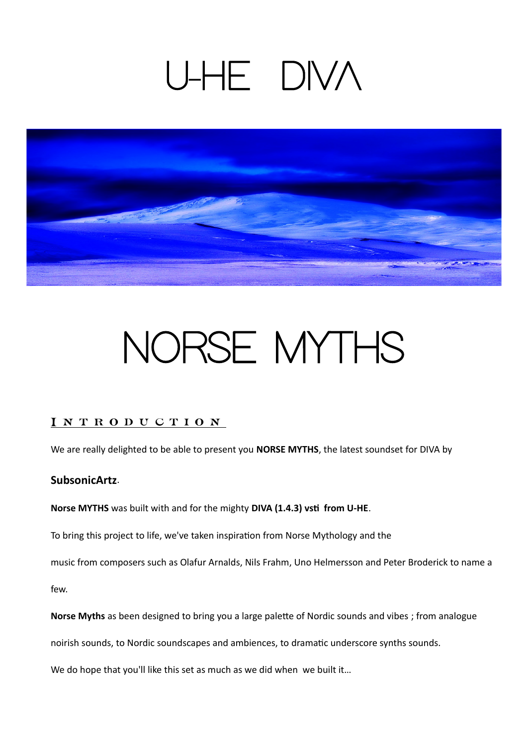## U-HE DIVA



# NORSE MYTHS

### I N T R O D U C T I O N

We are really delighted to be able to present you **NORSE MYTHS**, the latest soundset for DIVA by

### **SubsonicArtz**.

**Norse MYTHS** was built with and for the mighty **DIVA (1.4.3) vsti from U-HE**.

To bring this project to life, we've taken inspiration from Norse Mythology and the

music from composers such as Olafur Arnalds, Nils Frahm, Uno Helmersson and Peter Broderick to name a

few.

**Norse Myths** as been designed to bring you a large palette of Nordic sounds and vibes ; from analogue

noirish sounds, to Nordic soundscapes and ambiences, to dramatic underscore synths sounds.

We do hope that you'll like this set as much as we did when we built it...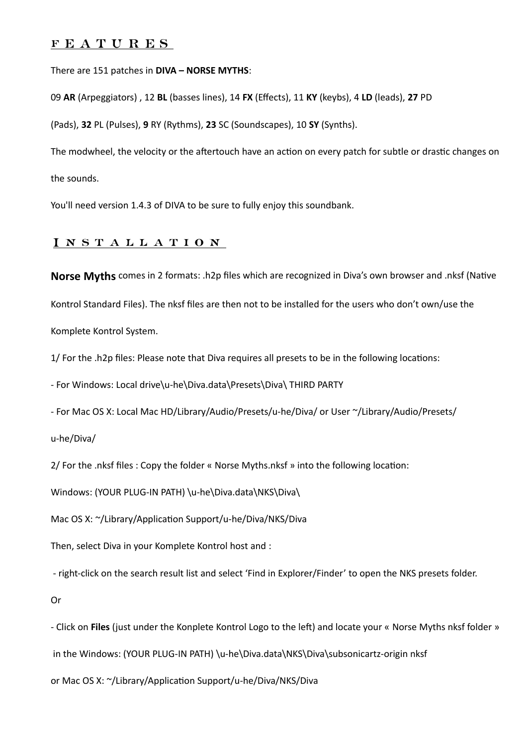#### f E A T U R E S

#### There are 151 patches in **DIVA – NORSE MYTHS**:

09 **AR** (Arpeggiators) , 12 **BL** (basses lines), 14 **FX** (Effects), 11 **KY** (keybs), 4 **LD** (leads), **27** PD

(Pads), **32** PL (Pulses), **9** RY (Rythms), **23** SC (Soundscapes), 10 **SY** (Synths).

The modwheel, the velocity or the aftertouch have an action on every patch for subtle or drastic changes on the sounds.

You'll need version 1.4.3 of DIVA to be sure to fully enjoy this soundbank.

#### I n s t a l l a t i o n

**Norse Myths** comes in 2 formats: .h2p files which are recognized in Diva's own browser and .nksf (Native Kontrol Standard Files). The nksf files are then not to be installed for the users who don't own/use the Komplete Kontrol System.

1/ For the .h2p files: Please note that Diva requires all presets to be in the following locations:

- For Windows: Local drive\u-he\Diva.data\Presets\Diva\ THIRD PARTY

- For Mac OS X: Local Mac HD/Library/Audio/Presets/u-he/Diva/ or User ~/Library/Audio/Presets/

u-he/Diva/

2/ For the .nksf files : Copy the folder « Norse Myths.nksf » into the following location:

Windows: (YOUR PLUG-IN PATH) \u-he\Diva.data\NKS\Diva\

Mac OS X: ~/Library/Application Support/u-he/Diva/NKS/Diva

Then, select Diva in your Komplete Kontrol host and :

- right-click on the search result list and select 'Find in Explorer/Finder' to open the NKS presets folder.

Or

- Click on **Files** (just under the Konplete Kontrol Logo to the left) and locate your « Norse Myths nksf folder » in the Windows: (YOUR PLUG-IN PATH) \u-he\Diva.data\NKS\Diva\subsonicartz-origin nksf

or Mac OS X: ~/Library/Application Support/u-he/Diva/NKS/Diva